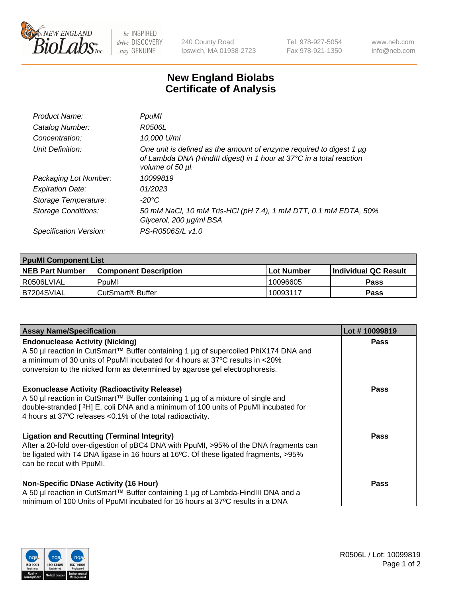

 $be$  INSPIRED drive DISCOVERY stay GENUINE

240 County Road Ipswich, MA 01938-2723 Tel 978-927-5054 Fax 978-921-1350 www.neb.com info@neb.com

## **New England Biolabs Certificate of Analysis**

| Product Name:           | PpuMI                                                                                                                                                                |
|-------------------------|----------------------------------------------------------------------------------------------------------------------------------------------------------------------|
| Catalog Number:         | R0506L                                                                                                                                                               |
| Concentration:          | 10,000 U/ml                                                                                                                                                          |
| Unit Definition:        | One unit is defined as the amount of enzyme required to digest 1 $\mu$ g<br>of Lambda DNA (HindIII digest) in 1 hour at 37°C in a total reaction<br>volume of 50 µl. |
| Packaging Lot Number:   | 10099819                                                                                                                                                             |
| <b>Expiration Date:</b> | 01/2023                                                                                                                                                              |
| Storage Temperature:    | -20°C                                                                                                                                                                |
| Storage Conditions:     | 50 mM NaCl, 10 mM Tris-HCl (pH 7.4), 1 mM DTT, 0.1 mM EDTA, 50%<br>Glycerol, 200 µg/ml BSA                                                                           |
| Specification Version:  | PS-R0506S/L v1.0                                                                                                                                                     |

| <b>PpuMI Component List</b> |                              |             |                             |  |
|-----------------------------|------------------------------|-------------|-----------------------------|--|
| <b>NEB Part Number</b>      | <b>Component Description</b> | ⊺Lot Number | <b>Individual QC Result</b> |  |
| R0506LVIAL                  | PpuMI                        | 10096605    | Pass                        |  |
| IB7204SVIAL                 | l CutSmart® Buffer           | 10093117    | Pass                        |  |

| <b>Assay Name/Specification</b>                                                                                                                             | Lot #10099819 |
|-------------------------------------------------------------------------------------------------------------------------------------------------------------|---------------|
| <b>Endonuclease Activity (Nicking)</b>                                                                                                                      | <b>Pass</b>   |
| A 50 µl reaction in CutSmart™ Buffer containing 1 µg of supercoiled PhiX174 DNA and                                                                         |               |
| a minimum of 30 units of PpuMI incubated for 4 hours at 37°C results in <20%<br>conversion to the nicked form as determined by agarose gel electrophoresis. |               |
|                                                                                                                                                             |               |
| <b>Exonuclease Activity (Radioactivity Release)</b>                                                                                                         | <b>Pass</b>   |
| A 50 µl reaction in CutSmart™ Buffer containing 1 µg of a mixture of single and                                                                             |               |
| double-stranded [3H] E. coli DNA and a minimum of 100 units of PpuMI incubated for                                                                          |               |
| 4 hours at 37°C releases < 0.1% of the total radioactivity.                                                                                                 |               |
| <b>Ligation and Recutting (Terminal Integrity)</b>                                                                                                          | Pass          |
| After a 20-fold over-digestion of pBC4 DNA with PpuMI, >95% of the DNA fragments can                                                                        |               |
| be ligated with T4 DNA ligase in 16 hours at 16°C. Of these ligated fragments, >95%                                                                         |               |
| can be recut with PpuMI.                                                                                                                                    |               |
| <b>Non-Specific DNase Activity (16 Hour)</b>                                                                                                                | <b>Pass</b>   |
| A 50 µl reaction in CutSmart™ Buffer containing 1 µg of Lambda-HindIII DNA and a                                                                            |               |
| minimum of 100 Units of PpuMI incubated for 16 hours at 37°C results in a DNA                                                                               |               |